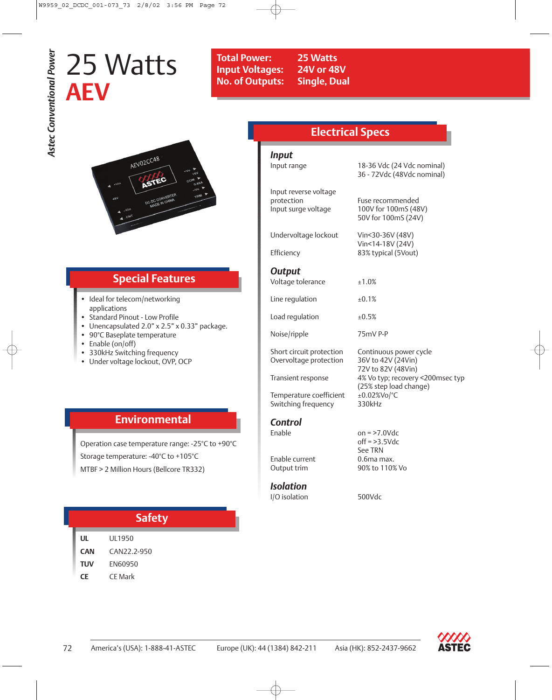# 25 Watts **AEV**



## **Special Features**

- Ideal for telecom/networking applications
- Standard Pinout Low Profile
- Unencapsulated 2.0" x 2.5" x 0.33" package.
- 90°C Baseplate temperature
- Enable (on/off)
- 330kHz Switching frequency
- Under voltage lockout, OVP, OCP

| <b>Electrical Specs</b>                                    |                                                                    |  |  |  |  |
|------------------------------------------------------------|--------------------------------------------------------------------|--|--|--|--|
| Input<br>Input range                                       | 18-36 Vdc (24 Vdc nominal)<br>36 - 72Vdc (48Vdc nominal)           |  |  |  |  |
| Input reverse voltage<br>protection<br>Input surge voltage | Fuse recommended<br>100V for 100mS (48V)<br>50V for 100mS (24V)    |  |  |  |  |
| Undervoltage lockout<br>Efficiency                         | Vin<30-36V (48V)<br>Vin<14-18V (24V)<br>83% typical (5Vout)        |  |  |  |  |
| <b>Output</b><br>Voltage tolerance                         | ±1.0%                                                              |  |  |  |  |
| Line regulation                                            | ±0.1%                                                              |  |  |  |  |
| Load regulation                                            | ±0.5%                                                              |  |  |  |  |
| Noise/ripple                                               | 75mV P-P                                                           |  |  |  |  |
| Short circuit protection<br>Overvoltage protection         | Continuous power cycle<br>36V to 42V (24Vin)<br>72V to 82V (48Vin) |  |  |  |  |
| Transient response                                         | 4% Vo typ; recovery <200msec typ<br>(25% step load change)         |  |  |  |  |
| Temperature coefficient<br>Switching frequency             | ±0.02%Vo/°C<br>330kHz                                              |  |  |  |  |
| <b>Control</b><br>Fnable                                   | $on = >7.0$ Vdc<br>$off = >3$ 5 Vdc                                |  |  |  |  |

Enable current<br>Output trim

# *Isolation*

I/O isolation 500Vdc

off = >3.5Vdc See TRN<br>0.6ma max. 90% to 110% Vo

**UL** UL1950 **TUV** EN60950

## **Environmental**

Operation case temperature range: -25°C to +90°C Storage temperature: -40°C to +105°C MTBF > 2 Million Hours (Bellcore TR332)

|     | <b>Safety</b>  |  |  |
|-----|----------------|--|--|
| UL  | UL 1950        |  |  |
| CAN | CAN22.2-950    |  |  |
| TUV | <b>FN60950</b> |  |  |
| ΓF  | <b>CF</b> Mark |  |  |